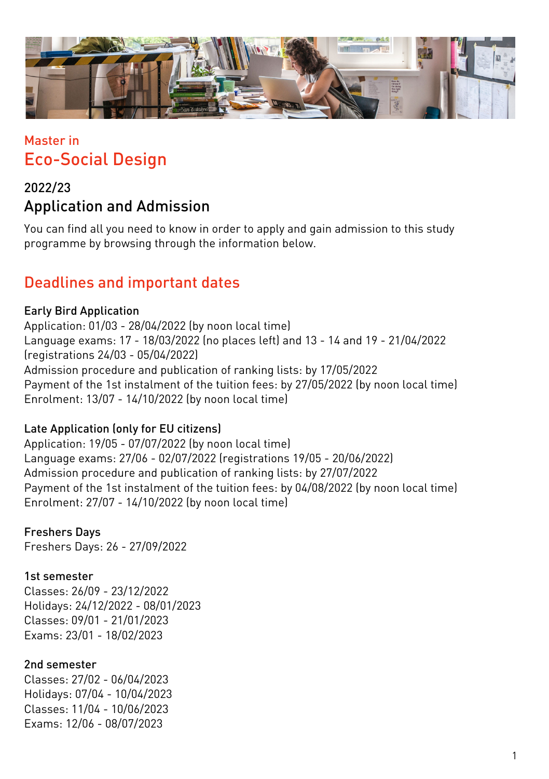

# Master in Eco-Social Design

## 2022/23 Application and Admission

You can find all you need to know in order to apply and gain admission to this study programme by browsing through the information below.

## Deadlines and important dates

#### Early Bird Application

Application: 01/03 - 28/04/2022 (by noon local time) Language exams: 17 - 18/03/2022 (no places left) and 13 - 14 and 19 - 21/04/2022 (registrations 24/03 - 05/04/2022) Admission procedure and publication of ranking lists: by 17/05/2022 Payment of the 1st instalment of the tuition fees: by 27/05/2022 (by noon local time) Enrolment: 13/07 - 14/10/2022 (by noon local time)

#### Late Application (only for EU citizens)

Application: 19/05 - 07/07/2022 (by noon local time) Language exams: 27/06 - 02/07/2022 (registrations 19/05 - 20/06/2022) Admission procedure and publication of ranking lists: by 27/07/2022 Payment of the 1st instalment of the tuition fees: by 04/08/2022 (by noon local time) Enrolment: 27/07 - 14/10/2022 (by noon local time)

### Freshers Days

Freshers Days: 26 - 27/09/2022

#### 1st semester

Classes: 26/09 - 23/12/2022 Holidays: 24/12/2022 - 08/01/2023 Classes: 09/01 - 21/01/2023 Exams: 23/01 - 18/02/2023

#### 2nd semester

Classes: 27/02 - 06/04/2023 Holidays: 07/04 - 10/04/2023 Classes: 11/04 - 10/06/2023 Exams: 12/06 - 08/07/2023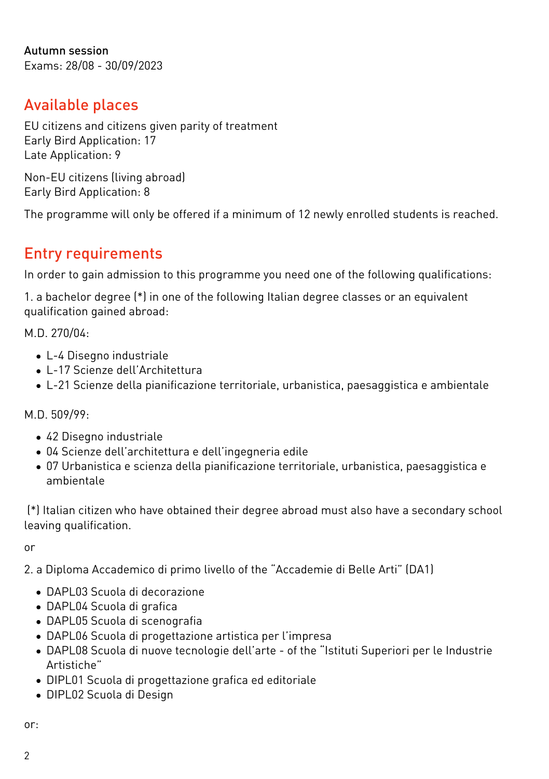Autumn session Exams: 28/08 - 30/09/2023

## Available places

EU citizens and citizens given parity of treatment Early Bird Application: 17 Late Application: 9

Non-EU citizens (living abroad) Early Bird Application: 8

The programme will only be offered if a minimum of 12 newly enrolled students is reached.

# Entry requirements

In order to gain admission to this programme you need one of the following qualifications:

1. a bachelor degree (\*) in one of the following Italian degree classes or an equivalent qualification gained abroad:

M.D. 270/04:

- L-4 Disegno industriale
- L-17 Scienze dell'Architettura
- L-21 Scienze della pianificazione territoriale, urbanistica, paesaggistica e ambientale

M.D. 509/99:

- 42 Disegno industriale
- 04 Scienze dell'architettura e dell'ingegneria edile
- 07 Urbanistica e scienza della pianificazione territoriale, urbanistica, paesaggistica e ambientale

 (\*) Italian citizen who have obtained their degree abroad must also have a secondary school leaving qualification.

or

2. a Diploma Accademico di primo livello of the "Accademie di Belle Arti" (DA1)

- DAPL03 Scuola di decorazione
- DAPL04 Scuola di grafica
- DAPL05 Scuola di scenografia
- DAPL06 Scuola di progettazione artistica per l'impresa
- DAPL08 Scuola di nuove tecnologie dell'arte of the "Istituti Superiori per le Industrie Artistiche"
- DIPL01 Scuola di progettazione grafica ed editoriale
- DIPL02 Scuola di Design

or: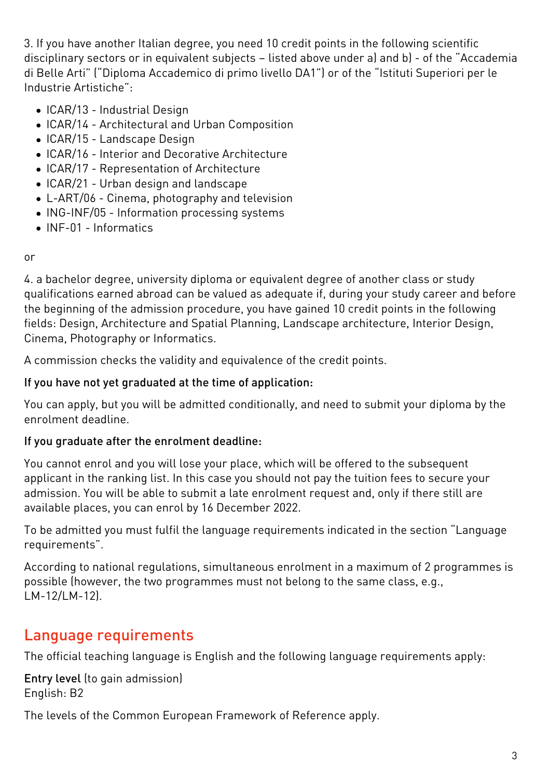3. If you have another Italian degree, you need 10 credit points in the following scientific disciplinary sectors or in equivalent subjects – listed above under a) and b) - of the "Accademia di Belle Arti" ("Diploma Accademico di primo livello DA1") or of the "Istituti Superiori per le Industrie Artistiche":

- ICAR/13 Industrial Design
- ICAR/14 Architectural and Urban Composition
- ICAR/15 Landscape Design
- ICAR/16 Interior and Decorative Architecture
- ICAR/17 Representation of Architecture
- ICAR/21 Urban design and landscape
- L-ART/06 Cinema, photography and television
- ING-INF/05 Information processing systems
- INF-01 Informatics

or

4. a bachelor degree, university diploma or equivalent degree of another class or study qualifications earned abroad can be valued as adequate if, during your study career and before the beginning of the admission procedure, you have gained 10 credit points in the following fields: Design, Architecture and Spatial Planning, Landscape architecture, Interior Design, Cinema, Photography or Informatics.

A commission checks the validity and equivalence of the credit points.

#### If you have not yet graduated at the time of application:

You can apply, but you will be admitted conditionally, and need to submit your diploma by the enrolment deadline.

#### If you graduate after the enrolment deadline:

You cannot enrol and you will lose your place, which will be offered to the subsequent applicant in the ranking list. In this case you should not pay the tuition fees to secure your admission. You will be able to submit a late enrolment request and, only if there still are available places, you can enrol by 16 December 2022.

To be admitted you must fulfil the language requirements indicated in the section "Language requirements".

According to national regulations, simultaneous enrolment in a maximum of 2 programmes is possible (however, the two programmes must not belong to the same class, e.g., LM-12/LM-12).

# Language requirements

The official teaching language is English and the following language requirements apply:

Entry level (to gain admission) English: B2

The levels of the Common European Framework of Reference apply.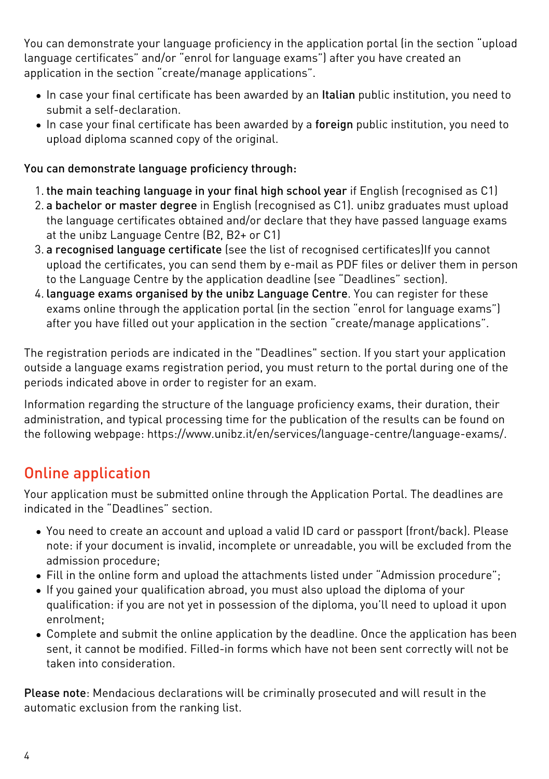You can demonstrate your language proficiency in the application portal (in the section "upload language certificates" and/or "enrol for language exams") after you have created an application in the section "create/manage applications".

- In case your final certificate has been awarded by an Italian public institution, you need to submit a self-declaration.
- In case your final certificate has been awarded by a foreign public institution, you need to upload diploma scanned copy of the original.

#### You can demonstrate language proficiency through:

- 1. the main teaching language in your final high school year if English (recognised as C1)
- 2. a bachelor or master degree in English (recognised as C1). unibz graduates must upload the language certificates obtained and/or declare that they have passed language exams at the unibz Language Centre (B2, B2+ or C1)
- 3. a recognised language certificate (see the list of [recognised certificates\)](https://www.unibz.it/it/services/language-centre/study-in-three-languages/)If you cannot upload the certificates, you can send them by e-mail as PDF files or deliver them in person to the Language Centre by the application deadline (see "Deadlines" section).
- 4. language exams organised by the unibz Language Centre. You can register for these exams online through the application portal (in the section "enrol for language exams") after you have filled out your application in the section "create/manage applications".

The registration periods are indicated in the "Deadlines" section. If you start your application outside a language exams registration period, you must return to the portal during one of the periods indicated above in order to register for an exam.

Information regarding the structure of the language proficiency exams, their duration, their administration, and typical processing time for the publication of the results can be found on the following webpage: [https://www.unibz.it/en/services/language-centre/language-exams/.](https://www.unibz.it/en/services/language-centre/language-exams/)

# Online application

Your application must be submitted online through the [Application Portal](https://aws.unibz.it/exup). The deadlines are indicated in the "Deadlines" section.

- You need to create an account and upload a valid ID card or passport (front/back). Please note: if your document is invalid, incomplete or unreadable, you will be excluded from the admission procedure;
- Fill in the online form and upload the attachments listed under "Admission procedure";
- If you gained your qualification abroad, you must also upload the diploma of your qualification: if you are not yet in possession of the diploma, you'll need to upload it upon enrolment;
- Complete and submit the online application by the deadline. Once the application has been sent, it cannot be modified. Filled-in forms which have not been sent correctly will not be taken into consideration.

Please note: Mendacious declarations will be criminally prosecuted and will result in the automatic exclusion from the ranking list.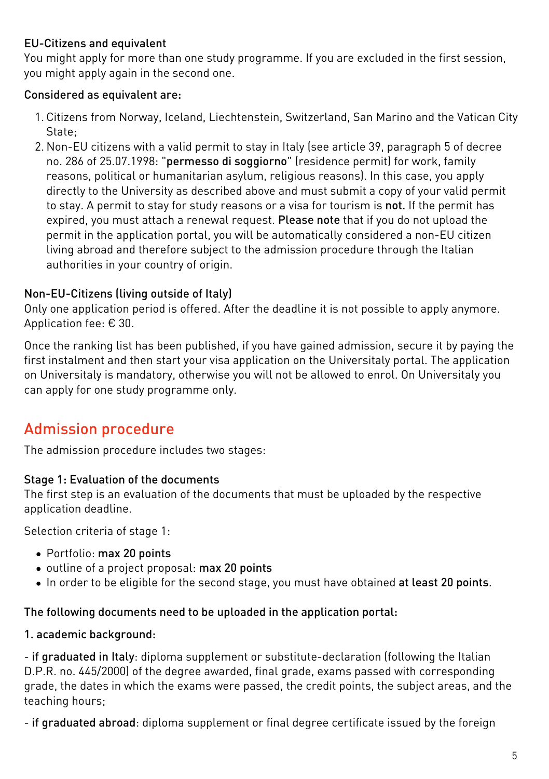#### EU-Citizens and equivalent

You might apply for more than one study programme. If you are excluded in the first session, you might apply again in the second one.

#### Considered as equivalent are:

- 1. Citizens from Norway, Iceland, Liechtenstein, Switzerland, San Marino and the Vatican City State;
- 2. Non-EU citizens with a valid permit to stay in Italy (see article 39, paragraph 5 of decree no. 286 of 25.07.1998: "permesso di soggiorno" (residence permit) for work, family reasons, political or humanitarian asylum, religious reasons). In this case, you apply directly to the University as described above and must submit a copy of your valid permit to stay. A permit to stay for study reasons or a visa for tourism is not. If the permit has expired, you must attach a renewal request. Please note that if you do not upload the permit in the application portal, you will be automatically considered a non-EU citizen living abroad and therefore subject to the admission procedure through the Italian authorities in your country of origin.

#### Non-EU-Citizens (living outside of Italy)

Only one application period is offered. After the deadline it is not possible to apply anymore. Application fee: € 30.

Once the ranking list has been published, if you have gained admission, secure it by paying the first instalment and then start your visa application on the [Universitaly portal.](https://www.universitaly.it/index.php/) The application on Universitaly is mandatory, otherwise you will not be allowed to enrol. On Universitaly you can apply for one study programme only.

# Admission procedure

The admission procedure includes two stages:

#### Stage 1: Evaluation of the documents

The first step is an evaluation of the documents that must be uploaded by the respective application deadline.

Selection criteria of stage 1:

- Portfolio: max 20 points
- outline of a project proposal: max 20 points
- In order to be eligible for the second stage, you must have obtained at least 20 points.

#### The following documents need to be uploaded in the application portal:

#### 1. academic background:

- if graduated in Italy: diploma supplement or substitute-declaration (following the Italian D.P.R. no. 445/2000) of the degree awarded, final grade, exams passed with corresponding grade, the dates in which the exams were passed, the credit points, the subject areas, and the teaching hours;

- if graduated abroad: diploma supplement or final degree certificate issued by the foreign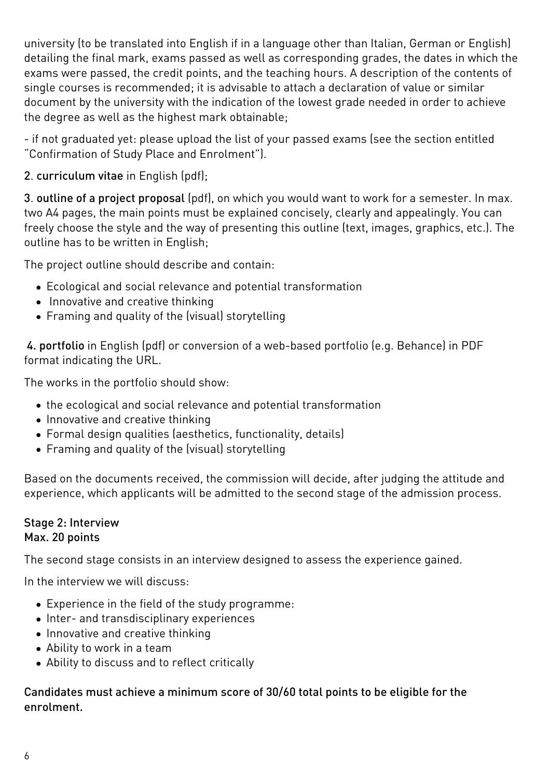university (to be translated into English if in a language other than Italian, German or English) detailing the final mark, exams passed as well as corresponding grades, the dates in which the exams were passed, the credit points, and the teaching hours. A description of the contents of single courses is recommended; it is advisable to attach a declaration of value or similar document by the university with the indication of the lowest grade needed in order to achieve the degree as well as the highest mark obtainable;

- if not graduated yet: please upload the list of your passed exams (see the section entitled "Confirmation of Study Place and Enrolment").

2. curriculum vitae in English (pdf);

3. outline of a project proposal (pdf), on which you would want to work for a semester. In max. two A4 pages, the main points must be explained concisely, clearly and appealingly. You can freely choose the style and the way of presenting this outline (text, images, graphics, etc.). The outline has to be written in English;

The project outline should describe and contain:

- Ecological and social relevance and potential transformation
- Innovative and creative thinking
- Framing and quality of the (visual) storytelling

 4. portfolio in English (pdf) or conversion of a web-based portfolio (e.g. Behance) in PDF format indicating the URL.

The works in the portfolio should show:

- the ecological and social relevance and potential transformation
- Innovative and creative thinking
- Formal design qualities (aesthetics, functionality, details)
- Framing and quality of the (visual) storytelling

Based on the documents received, the commission will decide, after judging the attitude and experience, which applicants will be admitted to the second stage of the admission process.

#### Stage 2: Interview Max. 20 points

The second stage consists in an interview designed to assess the experience gained.

In the interview we will discuss:

- Experience in the field of the study programme:
- Inter- and transdisciplinary experiences
- Innovative and creative thinking
- Ability to work in a team
- Ability to discuss and to reflect critically

Candidates must achieve a minimum score of 30/60 total points to be eligible for the enrolment.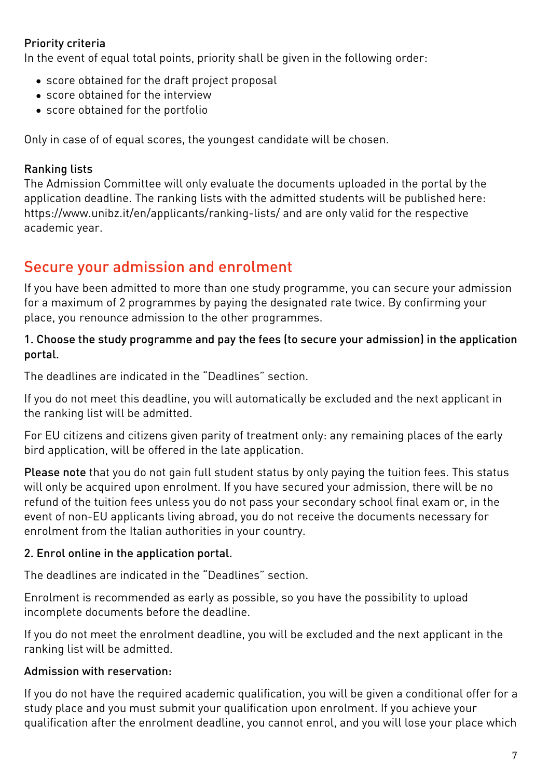### Priority criteria

In the event of equal total points, priority shall be given in the following order:

- score obtained for the draft project proposal
- score obtained for the interview
- score obtained for the portfolio

Only in case of of equal scores, the youngest candidate will be chosen.

#### Ranking lists

The Admission Committee will only evaluate the documents uploaded in the portal by the application deadline. The ranking lists with the admitted students will be published here: <https://www.unibz.it/en/applicants/ranking-lists/> and are only valid for the respective academic year.

## Secure your admission and enrolment

If you have been admitted to more than one study programme, you can secure your admission for a maximum of 2 programmes by paying the designated rate twice. By confirming your place, you renounce admission to the other programmes.

#### 1. Choose the study programme and pay the fees (to secure your admission) in the application portal.

The deadlines are indicated in the "Deadlines" section.

If you do not meet this deadline, you will automatically be excluded and the next applicant in the ranking list will be admitted.

For EU citizens and citizens given parity of treatment only: any remaining places of the early bird application, will be offered in the late application.

Please note that you do not gain full student status by only paying the tuition fees. This status will only be acquired upon enrolment. If you have secured your admission, there will be no refund of the tuition fees unless you do not pass your secondary school final exam or, in the event of non-EU applicants living abroad, you do not receive the documents necessary for enrolment from the Italian authorities in your country.

#### 2. Enrol online in the application portal.

The deadlines are indicated in the "Deadlines" section.

Enrolment is recommended as early as possible, so you have the possibility to upload incomplete documents before the deadline.

If you do not meet the enrolment deadline, you will be excluded and the next applicant in the ranking list will be admitted.

### Admission with reservation:

If you do not have the required academic qualification, you will be given a conditional offer for a study place and you must submit your qualification upon enrolment. If you achieve your qualification after the enrolment deadline, you cannot enrol, and you will lose your place which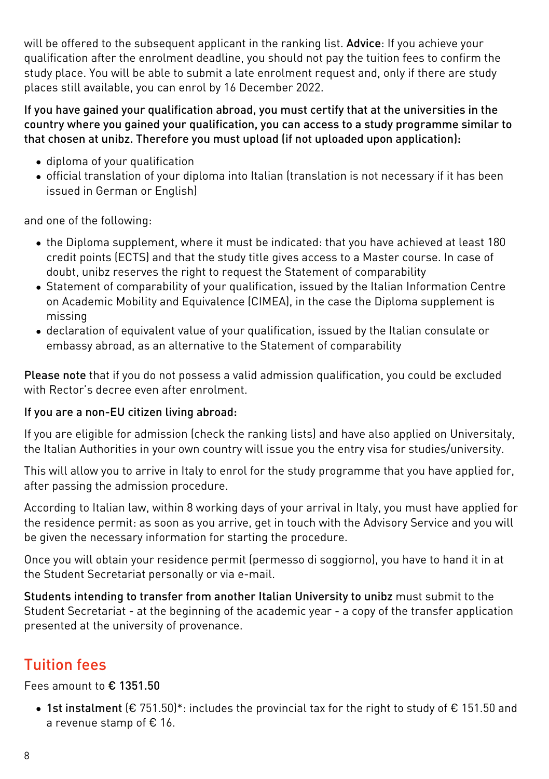will be offered to the subsequent applicant in the ranking list. Advice: If you achieve your qualification after the enrolment deadline, you should not pay the tuition fees to confirm the study place. You will be able to submit a late enrolment request and, only if there are study places still available, you can enrol by 16 December 2022.

#### If you have gained your qualification abroad, you must certify that at the universities in the country where you gained your qualification, you can access to a study programme similar to that chosen at unibz. Therefore you must upload (if not uploaded upon application):

- diploma of your qualification
- official translation of your diploma into Italian (translation is not necessary if it has been issued in German or English)

and one of the following:

- the Diploma supplement, where it must be indicated: that you have achieved at least 180 credit points (ECTS) and that the study title gives access to a Master course. In case of doubt, unibz reserves the right to request the Statement of comparability
- [Statement of comparability](https://www.cimea.it/EN/pagina-attestati-di-comparabilita-e-verifica-dei-titoli) of your qualification, issued by the Italian Information Centre on Academic Mobility and Equivalence (CIMEA), in the case the Diploma supplement is missing
- declaration of equivalent value of your qualification, issued by the Italian consulate or embassy abroad, as an alternative to the Statement of comparability

Please note that if you do not possess a valid admission qualification, you could be excluded with Rector's decree even after enrolment.

### If you are a non-EU citizen living abroad:

If you are eligible for admission (check the ranking lists) and have also applied on [Universitaly](https://www.universitaly.it/index.php/), the Italian Authorities in your own country will issue you the entry visa for studies/university.

This will allow you to arrive in Italy to enrol for the study programme that you have applied for, after passing the admission procedure.

According to Italian law, within 8 working days of your arrival in Italy, you must have applied for the residence permit: as soon as you arrive, get in touch with the Advisory Service and you will be given the necessary information for starting the procedure.

Once you will obtain your residence permit (permesso di soggiorno), you have to hand it in at the Student Secretariat personally or via e-mail.

Students intending to transfer from another Italian University to unibz must submit to the Student Secretariat - at the beginning of the academic year - a copy of the transfer application presented at the university of provenance.

# Tuition fees

Fees amount to € 1351.50

• 1st instalment ( $\epsilon$  751.50)\*: includes the provincial tax for the right to study of  $\epsilon$  151.50 and a revenue stamp of € 16.